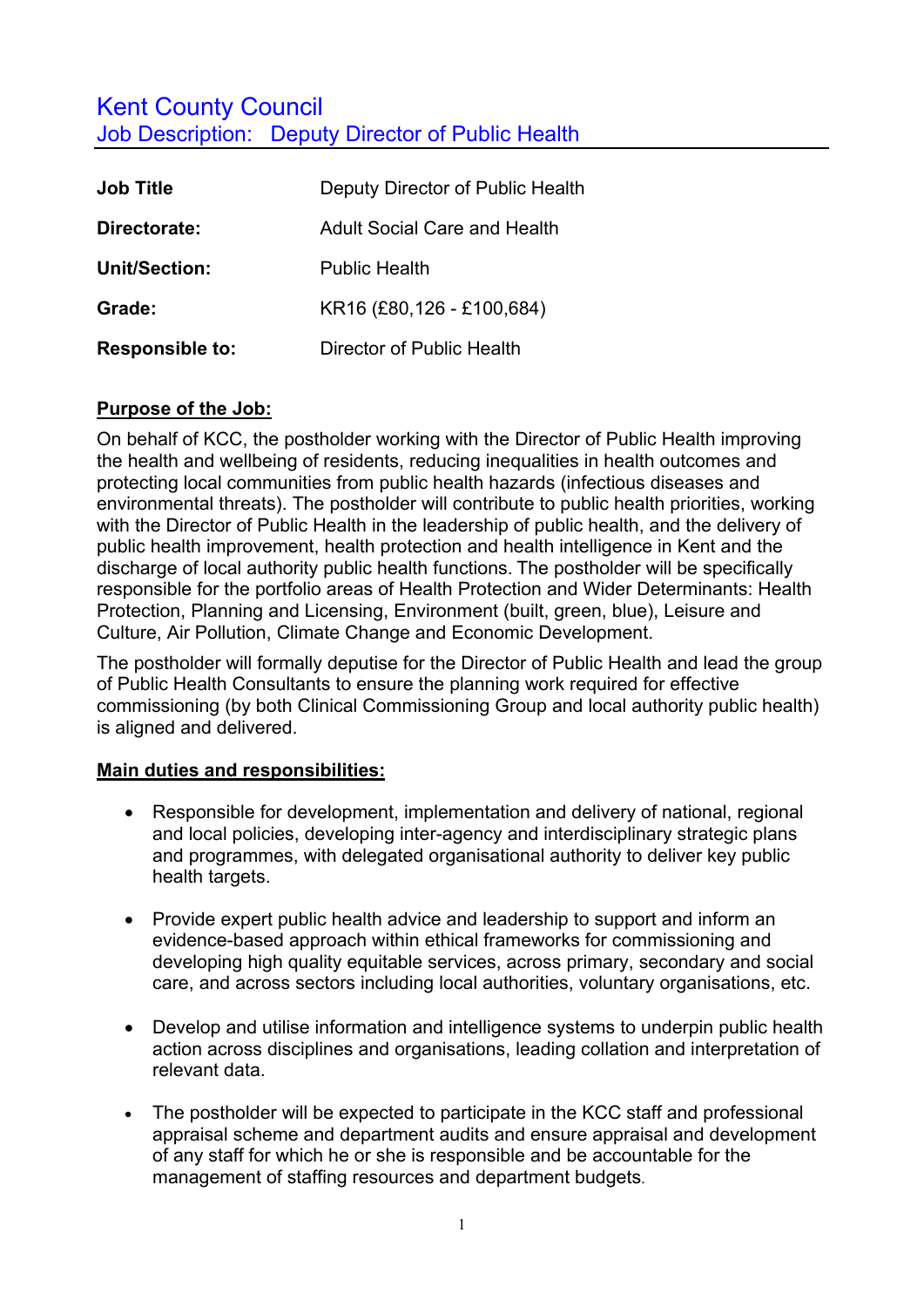# Kent County Council Job Description: Deputy Director of Public Health

| <b>Job Title</b>       | Deputy Director of Public Health |
|------------------------|----------------------------------|
| Directorate:           | Adult Social Care and Health     |
| Unit/Section:          | <b>Public Health</b>             |
| Grade:                 | KR16 (£80,126 - £100,684)        |
| <b>Responsible to:</b> | Director of Public Health        |

#### **Purpose of the Job:**

On behalf of KCC, the postholder working with the Director of Public Health improving the health and wellbeing of residents, reducing inequalities in health outcomes and protecting local communities from public health hazards (infectious diseases and environmental threats). The postholder will contribute to public health priorities, working with the Director of Public Health in the leadership of public health, and the delivery of public health improvement, health protection and health intelligence in Kent and the discharge of local authority public health functions. The postholder will be specifically responsible for the portfolio areas of Health Protection and Wider Determinants: Health Protection, Planning and Licensing, Environment (built, green, blue), Leisure and Culture, Air Pollution, Climate Change and Economic Development.

The postholder will formally deputise for the Director of Public Health and lead the group of Public Health Consultants to ensure the planning work required for effective commissioning (by both Clinical Commissioning Group and local authority public health) is aligned and delivered.

## **Main duties and responsibilities:**

- Responsible for development, implementation and delivery of national, regional and local policies, developing inter-agency and interdisciplinary strategic plans and programmes, with delegated organisational authority to deliver key public health targets.
- Provide expert public health advice and leadership to support and inform an evidence-based approach within ethical frameworks for commissioning and developing high quality equitable services, across primary, secondary and social care, and across sectors including local authorities, voluntary organisations, etc.
- Develop and utilise information and intelligence systems to underpin public health action across disciplines and organisations, leading collation and interpretation of relevant data.
- The postholder will be expected to participate in the KCC staff and professional appraisal scheme and department audits and ensure appraisal and development of any staff for which he or she is responsible and be accountable for the management of staffing resources and department budgets.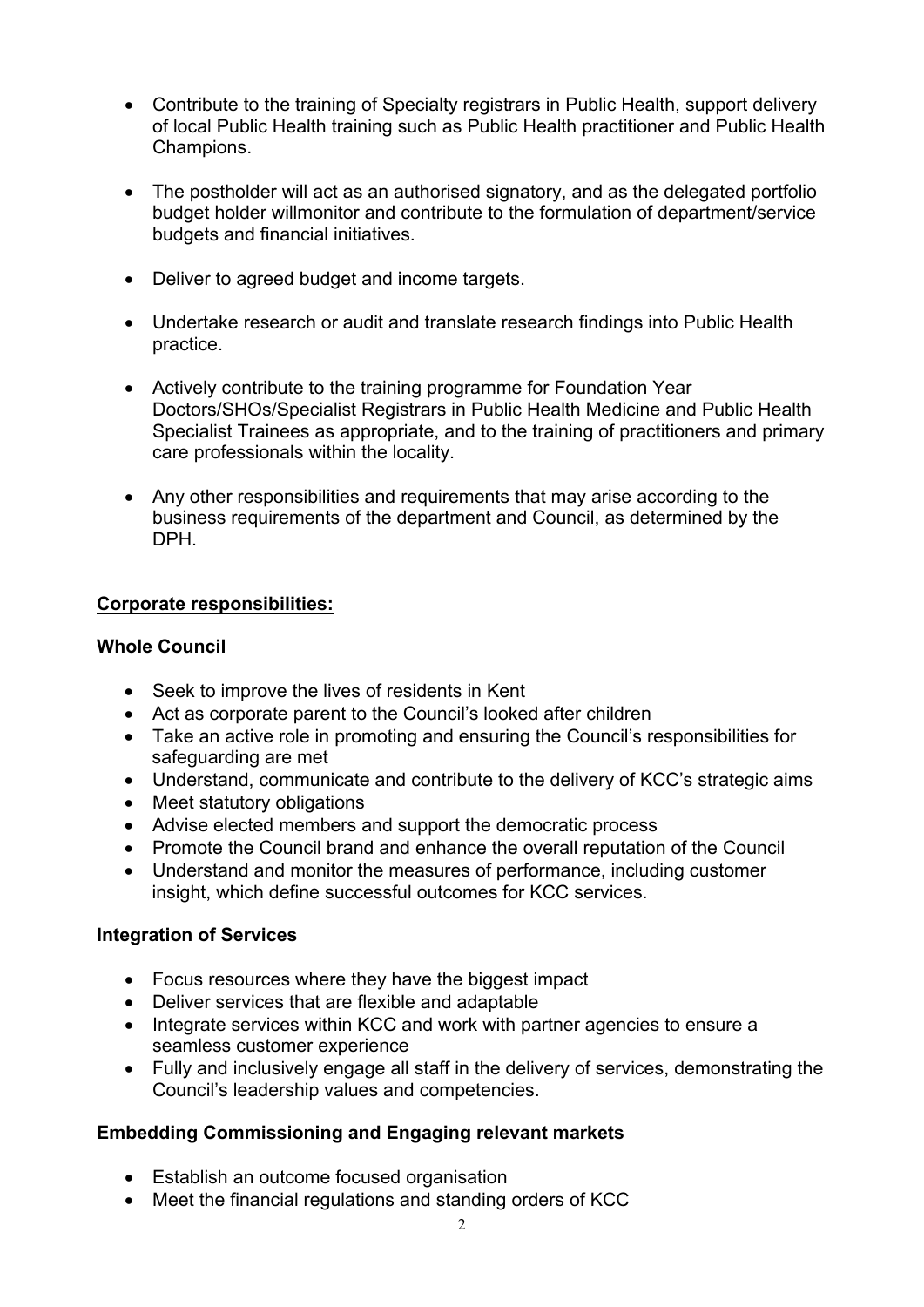- Contribute to the training of Specialty registrars in Public Health, support delivery of local Public Health training such as Public Health practitioner and Public Health Champions.
- The postholder will act as an authorised signatory, and as the delegated portfolio budget holder willmonitor and contribute to the formulation of department/service budgets and financial initiatives.
- Deliver to agreed budget and income targets.
- Undertake research or audit and translate research findings into Public Health practice.
- Actively contribute to the training programme for Foundation Year Doctors/SHOs/Specialist Registrars in Public Health Medicine and Public Health Specialist Trainees as appropriate, and to the training of practitioners and primary care professionals within the locality.
- Any other responsibilities and requirements that may arise according to the business requirements of the department and Council, as determined by the DPH.

#### **Corporate responsibilities:**

#### **Whole Council**

- Seek to improve the lives of residents in Kent
- Act as corporate parent to the Council's looked after children
- Take an active role in promoting and ensuring the Council's responsibilities for safeguarding are met
- Understand, communicate and contribute to the delivery of KCC's strategic aims
- Meet statutory obligations
- Advise elected members and support the democratic process
- Promote the Council brand and enhance the overall reputation of the Council
- Understand and monitor the measures of performance, including customer insight, which define successful outcomes for KCC services.

#### **Integration of Services**

- Focus resources where they have the biggest impact
- Deliver services that are flexible and adaptable
- Integrate services within KCC and work with partner agencies to ensure a seamless customer experience
- Fully and inclusively engage all staff in the delivery of services, demonstrating the Council's leadership values and competencies.

## **Embedding Commissioning and Engaging relevant markets**

- Establish an outcome focused organisation
- Meet the financial regulations and standing orders of KCC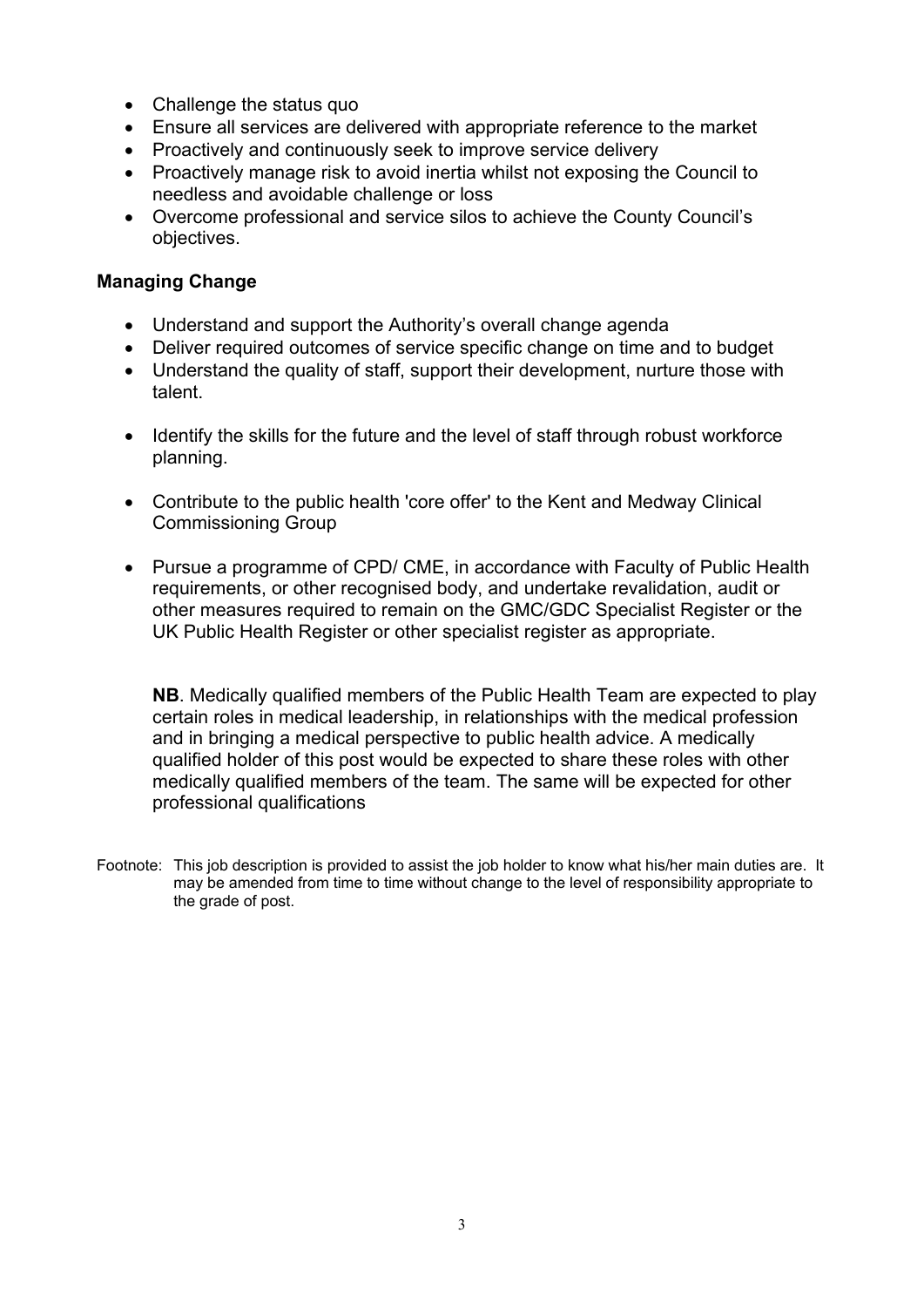- Challenge the status quo
- Ensure all services are delivered with appropriate reference to the market
- Proactively and continuously seek to improve service delivery
- Proactively manage risk to avoid inertia whilst not exposing the Council to needless and avoidable challenge or loss
- Overcome professional and service silos to achieve the County Council's objectives.

#### **Managing Change**

- Understand and support the Authority's overall change agenda
- Deliver required outcomes of service specific change on time and to budget
- Understand the quality of staff, support their development, nurture those with talent.
- Identify the skills for the future and the level of staff through robust workforce planning.
- Contribute to the public health 'core offer' to the Kent and Medway Clinical Commissioning Group
- Pursue a programme of CPD/ CME, in accordance with Faculty of Public Health requirements, or other recognised body, and undertake revalidation, audit or other measures required to remain on the GMC/GDC Specialist Register or the UK Public Health Register or other specialist register as appropriate.

**NB**. Medically qualified members of the Public Health Team are expected to play certain roles in medical leadership, in relationships with the medical profession and in bringing a medical perspective to public health advice. A medically qualified holder of this post would be expected to share these roles with other medically qualified members of the team. The same will be expected for other professional qualifications

Footnote: This job description is provided to assist the job holder to know what his/her main duties are. It may be amended from time to time without change to the level of responsibility appropriate to the grade of post.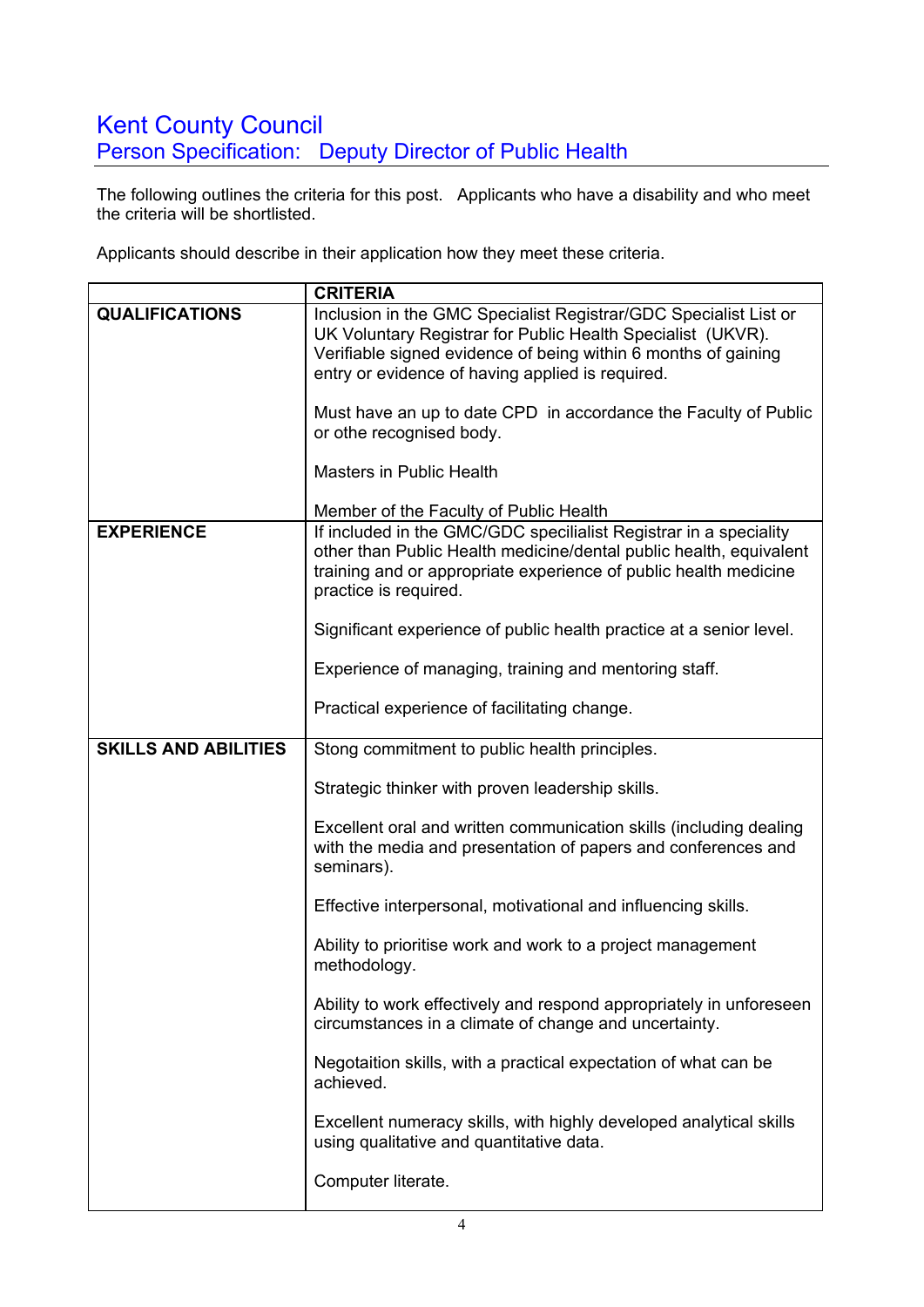# Kent County Council Person Specification: Deputy Director of Public Health

The following outlines the criteria for this post. Applicants who have a disability and who meet the criteria will be shortlisted.

Applicants should describe in their application how they meet these criteria.

|                             | <b>CRITERIA</b>                                                                                                                                                                                                                                       |  |  |
|-----------------------------|-------------------------------------------------------------------------------------------------------------------------------------------------------------------------------------------------------------------------------------------------------|--|--|
| <b>QUALIFICATIONS</b>       | Inclusion in the GMC Specialist Registrar/GDC Specialist List or<br>UK Voluntary Registrar for Public Health Specialist (UKVR).<br>Verifiable signed evidence of being within 6 months of gaining<br>entry or evidence of having applied is required. |  |  |
|                             | Must have an up to date CPD in accordance the Faculty of Public<br>or othe recognised body.                                                                                                                                                           |  |  |
|                             | <b>Masters in Public Health</b>                                                                                                                                                                                                                       |  |  |
|                             | Member of the Faculty of Public Health                                                                                                                                                                                                                |  |  |
| <b>EXPERIENCE</b>           | If included in the GMC/GDC specilialist Registrar in a speciality<br>other than Public Health medicine/dental public health, equivalent<br>training and or appropriate experience of public health medicine<br>practice is required.                  |  |  |
|                             | Significant experience of public health practice at a senior level.                                                                                                                                                                                   |  |  |
|                             | Experience of managing, training and mentoring staff.                                                                                                                                                                                                 |  |  |
|                             | Practical experience of facilitating change.                                                                                                                                                                                                          |  |  |
| <b>SKILLS AND ABILITIES</b> | Stong commitment to public health principles.                                                                                                                                                                                                         |  |  |
|                             | Strategic thinker with proven leadership skills.                                                                                                                                                                                                      |  |  |
|                             | Excellent oral and written communication skills (including dealing<br>with the media and presentation of papers and conferences and<br>seminars).                                                                                                     |  |  |
|                             | Effective interpersonal, motivational and influencing skills.                                                                                                                                                                                         |  |  |
|                             | Ability to prioritise work and work to a project management<br>methodology.                                                                                                                                                                           |  |  |
|                             | Ability to work effectively and respond appropriately in unforeseen<br>circumstances in a climate of change and uncertainty.                                                                                                                          |  |  |
|                             | Negotaition skills, with a practical expectation of what can be<br>achieved.                                                                                                                                                                          |  |  |
|                             | Excellent numeracy skills, with highly developed analytical skills<br>using qualitative and quantitative data.                                                                                                                                        |  |  |
|                             | Computer literate.                                                                                                                                                                                                                                    |  |  |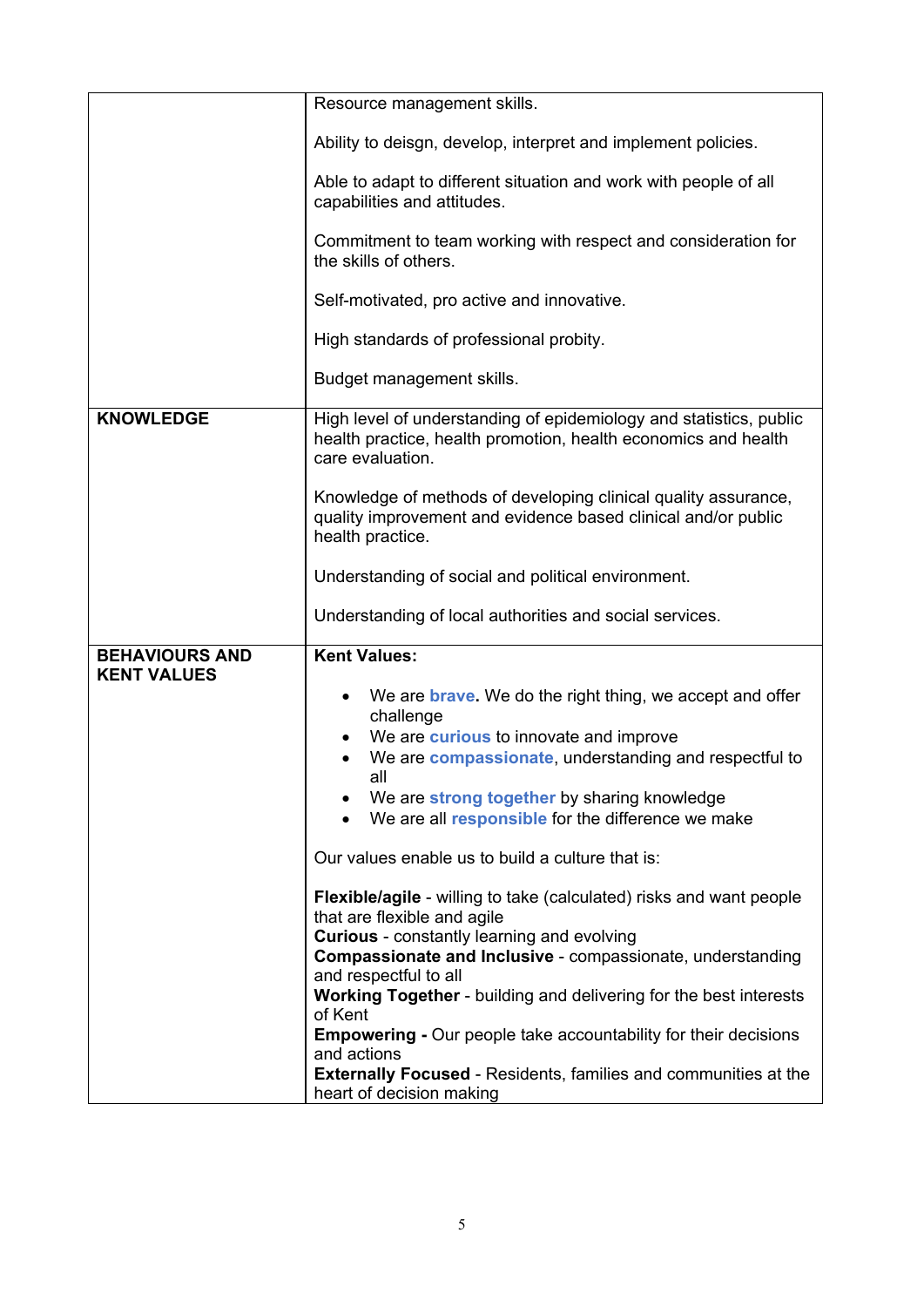|                                             | Resource management skills.                                                                                                                                                                                                                                                                                                                                                                                                                                                                                                                                   |
|---------------------------------------------|---------------------------------------------------------------------------------------------------------------------------------------------------------------------------------------------------------------------------------------------------------------------------------------------------------------------------------------------------------------------------------------------------------------------------------------------------------------------------------------------------------------------------------------------------------------|
|                                             |                                                                                                                                                                                                                                                                                                                                                                                                                                                                                                                                                               |
|                                             | Ability to deisgn, develop, interpret and implement policies.                                                                                                                                                                                                                                                                                                                                                                                                                                                                                                 |
|                                             | Able to adapt to different situation and work with people of all<br>capabilities and attitudes.                                                                                                                                                                                                                                                                                                                                                                                                                                                               |
|                                             | Commitment to team working with respect and consideration for<br>the skills of others.                                                                                                                                                                                                                                                                                                                                                                                                                                                                        |
|                                             | Self-motivated, pro active and innovative.                                                                                                                                                                                                                                                                                                                                                                                                                                                                                                                    |
|                                             | High standards of professional probity.                                                                                                                                                                                                                                                                                                                                                                                                                                                                                                                       |
|                                             | Budget management skills.                                                                                                                                                                                                                                                                                                                                                                                                                                                                                                                                     |
| <b>KNOWLEDGE</b>                            | High level of understanding of epidemiology and statistics, public<br>health practice, health promotion, health economics and health<br>care evaluation.                                                                                                                                                                                                                                                                                                                                                                                                      |
|                                             | Knowledge of methods of developing clinical quality assurance,<br>quality improvement and evidence based clinical and/or public<br>health practice.                                                                                                                                                                                                                                                                                                                                                                                                           |
|                                             | Understanding of social and political environment.                                                                                                                                                                                                                                                                                                                                                                                                                                                                                                            |
|                                             | Understanding of local authorities and social services.                                                                                                                                                                                                                                                                                                                                                                                                                                                                                                       |
| <b>BEHAVIOURS AND</b><br><b>KENT VALUES</b> | <b>Kent Values:</b><br>We are <b>brave.</b> We do the right thing, we accept and offer<br>challenge<br>We are <b>curious</b> to innovate and improve<br>We are <b>compassionate</b> , understanding and respectful to<br>all<br>We are strong together by sharing knowledge<br>We are all <b>responsible</b> for the difference we make<br>Our values enable us to build a culture that is:<br><b>Flexible/agile</b> - willing to take (calculated) risks and want people<br>that are flexible and agile<br><b>Curious</b> - constantly learning and evolving |
|                                             | <b>Compassionate and Inclusive - compassionate, understanding</b><br>and respectful to all<br><b>Working Together</b> - building and delivering for the best interests<br>of Kent<br><b>Empowering - Our people take accountability for their decisions</b><br>and actions<br><b>Externally Focused - Residents, families and communities at the</b>                                                                                                                                                                                                          |
|                                             | heart of decision making                                                                                                                                                                                                                                                                                                                                                                                                                                                                                                                                      |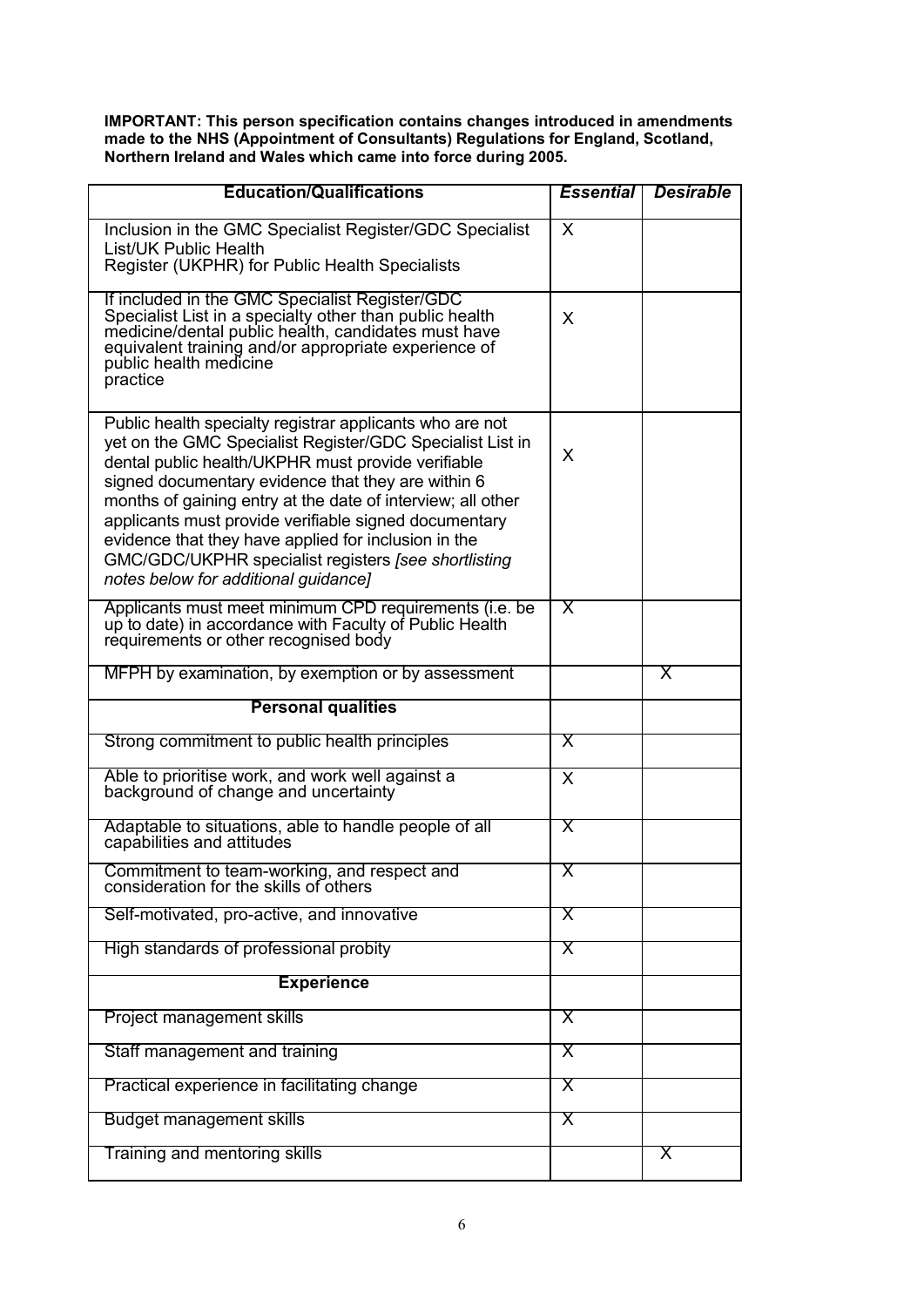**IMPORTANT: This person specification contains changes introduced in amendments made to the NHS (Appointment of Consultants) Regulations for England, Scotland, Northern Ireland and Wales which came into force during 2005.**

| <b>Education/Qualifications</b>                                                                                                                                                                                                                                                                                                                                                                                                                                                                                   | <b>Essential</b>        | <b>Desirable</b> |
|-------------------------------------------------------------------------------------------------------------------------------------------------------------------------------------------------------------------------------------------------------------------------------------------------------------------------------------------------------------------------------------------------------------------------------------------------------------------------------------------------------------------|-------------------------|------------------|
| Inclusion in the GMC Specialist Register/GDC Specialist<br>List/UK Public Health<br>Register (UKPHR) for Public Health Specialists                                                                                                                                                                                                                                                                                                                                                                                | X                       |                  |
| If included in the GMC Specialist Register/GDC<br>Specialist List in a specialty other than public health<br>medicine/dental public health, candidates must have<br>equivalent training and/or appropriate experience of<br>public health medicine<br>practice                                                                                                                                                                                                                                                    | X                       |                  |
| Public health specialty registrar applicants who are not<br>yet on the GMC Specialist Register/GDC Specialist List in<br>dental public health/UKPHR must provide verifiable<br>signed documentary evidence that they are within 6<br>months of gaining entry at the date of interview; all other<br>applicants must provide verifiable signed documentary<br>evidence that they have applied for inclusion in the<br>GMC/GDC/UKPHR specialist registers [see shortlisting<br>notes below for additional guidance] | X                       |                  |
| Applicants must meet minimum CPD requirements (i.e. be<br>up to date) in accordance with Faculty of Public Health<br>requirements or other recognised body                                                                                                                                                                                                                                                                                                                                                        | Χ                       |                  |
| MFPH by examination, by exemption or by assessment                                                                                                                                                                                                                                                                                                                                                                                                                                                                |                         | X                |
| <b>Personal qualities</b>                                                                                                                                                                                                                                                                                                                                                                                                                                                                                         |                         |                  |
| Strong commitment to public health principles                                                                                                                                                                                                                                                                                                                                                                                                                                                                     | X                       |                  |
| Able to prioritise work, and work well against a<br>background of change and uncertainty                                                                                                                                                                                                                                                                                                                                                                                                                          | X                       |                  |
| Adaptable to situations, able to handle people of all<br>capabilities and attitudes                                                                                                                                                                                                                                                                                                                                                                                                                               | $\overline{\mathsf{X}}$ |                  |
| Commitment to team-working, and respect and<br>consideration for the skills of others                                                                                                                                                                                                                                                                                                                                                                                                                             | Χ                       |                  |
| Self-motivated, pro-active, and innovative                                                                                                                                                                                                                                                                                                                                                                                                                                                                        | X                       |                  |
| High standards of professional probity                                                                                                                                                                                                                                                                                                                                                                                                                                                                            | $\overline{\mathsf{X}}$ |                  |
| <b>Experience</b>                                                                                                                                                                                                                                                                                                                                                                                                                                                                                                 |                         |                  |
| Project management skills                                                                                                                                                                                                                                                                                                                                                                                                                                                                                         | X                       |                  |
| Staff management and training                                                                                                                                                                                                                                                                                                                                                                                                                                                                                     | X                       |                  |
| Practical experience in facilitating change                                                                                                                                                                                                                                                                                                                                                                                                                                                                       | X                       |                  |
| <b>Budget management skills</b>                                                                                                                                                                                                                                                                                                                                                                                                                                                                                   | X                       |                  |
| Training and mentoring skills                                                                                                                                                                                                                                                                                                                                                                                                                                                                                     |                         | X                |